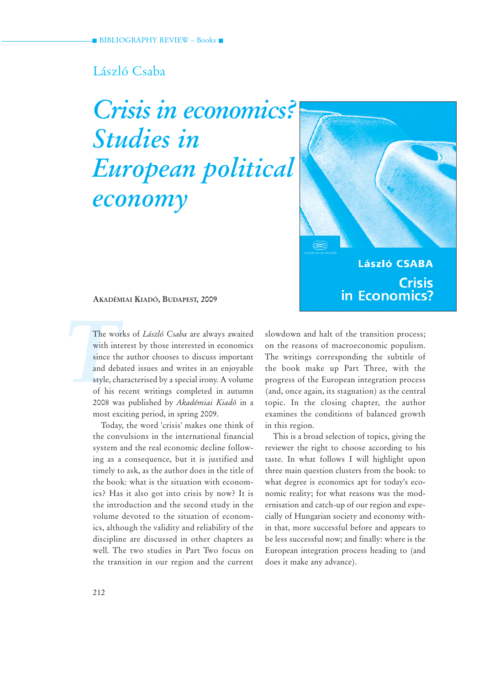# László Csaba

# *Crisis in economics? Studies in European political economy*



**László CSABA Crisis** in Economics?

**AKADÉMIAI KIADÓ, BUDAPEST, 2009**

The women<br>with int<br>since the<br>and deb<br>style, ch<br>of his 1 The works of *László Csaba* are always awaited with interest by those interested in economics since the author chooses to discuss important and debated issues and writes in an enjoyable style, characterised by a special irony. A volume of his recent writings completed in autumn 2008 was published by *Akadémiai Kiadó* in a most exciting period, in spring 2009.

> Today, the word 'crisis' makes one think of the convulsions in the international financial system and the real economic decline following as a consequence, but it is justified and timely to ask, as the author does in the title of the book: what is the situation with economics? Has it also got into crisis by now? It is the introduction and the second study in the volume devoted to the situation of economics, although the validity and reliability of the discipline are discussed in other chapters as well. The two studies in Part Two focus on the transition in our region and the current

slowdown and halt of the transition process; on the reasons of macroeconomic populism. The writings corresponding the subtitle of the book make up Part Three, with the progress of the European integration process (and, once again, its stagnation) as the central topic. In the closing chapter, the author examines the conditions of balanced growth in this region.

This is a broad selection of topics, giving the reviewer the right to choose according to his taste. In what follows I will highlight upon three main question clusters from the book: to what degree is economics apt for today's economic reality; for what reasons was the modernisation and catch-up of our region and especially of Hungarian society and economy within that, more successful before and appears to be less successful now; and finally: where is the European integration process heading to (and does it make any advance).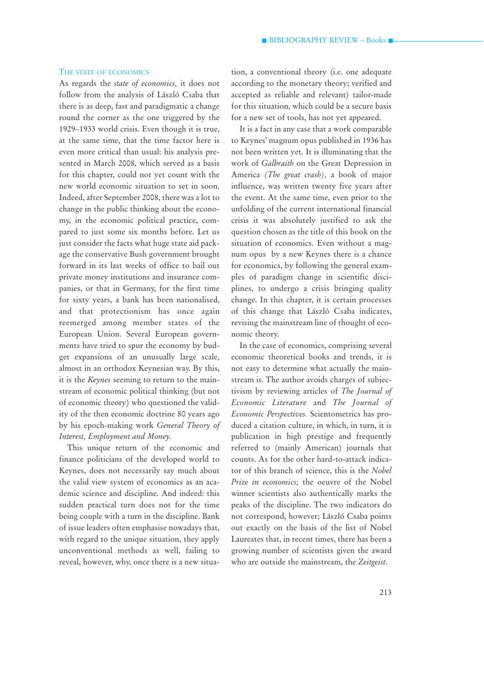#### THE STATE OF ECONOMICS

As regards the *state of economics,* it does not follow from the analysis of László Csaba that there is as deep, fast and paradigmatic a change round the corner as the one triggered by the 1929–1933 world crisis. Even though it is true, at the same time, that the time factor here is even more critical than usual: his analysis presented in March 2008, which served as a basis for this chapter, could not yet count with the new world economic situation to set in soon. Indeed, after September 2008, there was a lot to change in the public thinking about the economy, in the economic political practice, compared to just some six months before. Let us just consider the facts what huge state aid package the conservative Bush government brought forward in its last weeks of office to bail out private money institutions and insurance companies, or that in Germany, for the first time for sixty years, a bank has been nationalised, and that protectionism has once again reemerged among member states of the European Union. Several European governments have tried to spur the economy by budget expansions of an unusually large scale, almost in an orthodox Keynesian way. By this, it is the *Keynes* seeming to return to the mainstream of economic political thinking (but not of economic theory) who questioned the validity of the then economic doctrine 80 years ago by his epoch-making work *General Theory of Interest, Employment and Money.* 

This unique return of the economic and finance politicians of the developed world to Keynes, does not necessarily say much about the valid view system of economics as an academic science and discipline. And indeed: this sudden practical turn does not for the time being couple with a turn in the discipline. Bank of issue leaders often emphasise nowadays that, with regard to the unique situation, they apply unconventional methods as well, failing to reveal, however, why, once there is a new situation, a conventional theory (i.e. one adequate according to the monetary theory; verified and accepted as reliable and relevant) tailor-made for this situation, which could be a secure basis for a new set of tools, has not yet appeared.

It is a fact in any case that a work comparable to Keynes' magnum opus published in 1936 has not been written yet. It is illuminating that the work of *Galbraith* on the Great Depression in America *(The great crash),* a book of major influence, was written twenty five years after the event. At the same time, even prior to the unfolding of the current international financial crisis it was absolutely justified to ask the question chosen as the title of this book on the situation of economics. Even without a magnum opus by a new Keynes there is a chance for economics, by following the general examples of paradigm change in scientific disciplines, to undergo a crisis bringing quality change. In this chapter, it is certain processes of this change that László Csaba indicates, revising the mainstream line of thought of economic theory.

In the case of economics, comprising several economic theoretical books and trends, it is not easy to determine what actually the mainstream is. The author avoids charges of subjectivism by reviewing articles of *The Journal of Economic Literature* and *The Journal of Economic Perspectives.* Scientometrics has produced a citation culture, in which, in turn, it is publication in high prestige and frequently referred to (mainly American) journals that counts. As for the other hard-to-attack indicator of this branch of science, this is the *Nobel Prize in economics;* the oeuvre of the Nobel winner scientists also authentically marks the peaks of the discipline. The two indicators do not correspond, however; László Csaba points out exactly on the basis of the list of Nobel Laureates that, in recent times, there has been a growing number of scientists given the award who are outside the mainstream, the *Zeitgeist*.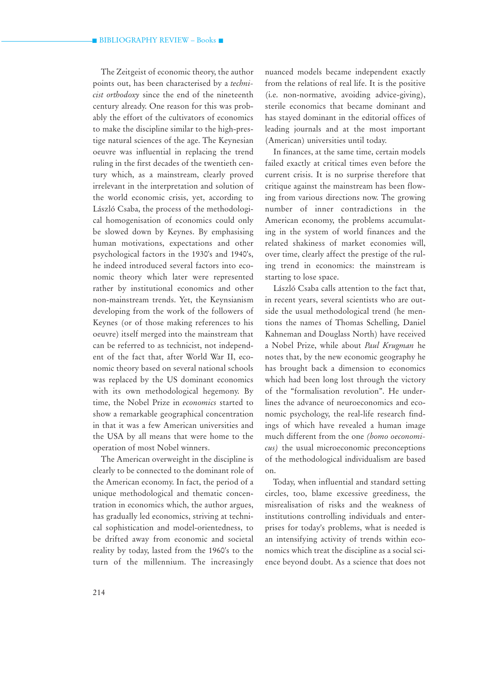The Zeitgeist of economic theory, the author points out, has been characterised by a *technicist orthodoxy* since the end of the nineteenth century already. One reason for this was probably the effort of the cultivators of economics to make the discipline similar to the high-prestige natural sciences of the age. The Keynesian oeuvre was influential in replacing the trend ruling in the first decades of the twentieth century which, as a mainstream, clearly proved irrelevant in the interpretation and solution of the world economic crisis, yet, according to László Csaba, the process of the methodological homogenisation of economics could only be slowed down by Keynes. By emphasising human motivations, expectations and other psychological factors in the 1930's and 1940's, he indeed introduced several factors into economic theory which later were represented rather by institutional economics and other non-mainstream trends. Yet, the Keynsianism developing from the work of the followers of Keynes (or of those making references to his oeuvre) itself merged into the mainstream that can be referred to as technicist, not independent of the fact that, after World War II, economic theory based on several national schools was replaced by the US dominant economics with its own methodological hegemony. By time, the Nobel Prize in *economics* started to show a remarkable geographical concentration in that it was a few American universities and the USA by all means that were home to the operation of most Nobel winners.

The American overweight in the discipline is clearly to be connected to the dominant role of the American economy. In fact, the period of a unique methodological and thematic concentration in economics which, the author argues, has gradually led economics, striving at technical sophistication and model-orientedness, to be drifted away from economic and societal reality by today, lasted from the 1960's to the turn of the millennium. The increasingly nuanced models became independent exactly from the relations of real life. It is the positive (i.e. non-normative, avoiding advice-giving), sterile economics that became dominant and has stayed dominant in the editorial offices of leading journals and at the most important (American) universities until today.

In finances, at the same time, certain models failed exactly at critical times even before the current crisis. It is no surprise therefore that critique against the mainstream has been flowing from various directions now. The growing number of inner contradictions in the American economy, the problems accumulating in the system of world finances and the related shakiness of market economies will, over time, clearly affect the prestige of the ruling trend in economics: the mainstream is starting to lose space.

László Csaba calls attention to the fact that, in recent years, several scientists who are outside the usual methodological trend (he mentions the names of Thomas Schelling, Daniel Kahneman and Douglass North) have received a Nobel Prize, while about *Paul Krugman* he notes that, by the new economic geography he has brought back a dimension to economics which had been long lost through the victory of the "formalisation revolution". He underlines the advance of neuroeconomics and economic psychology, the real-life research findings of which have revealed a human image much different from the one *(homo oeconomicus)* the usual microeconomic preconceptions of the methodological individualism are based on.

Today, when influential and standard setting circles, too, blame excessive greediness, the misrealisation of risks and the weakness of institutions controlling individuals and enterprises for today's problems, what is needed is an intensifying activity of trends within economics which treat the discipline as a social science beyond doubt. As a science that does not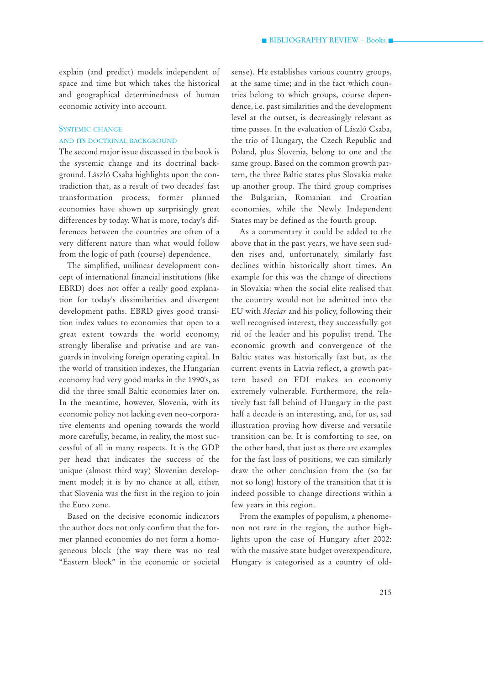explain (and predict) models independent of space and time but which takes the historical and geographical determinedness of human economic activity into account.

## SYSTEMIC CHANGE AND ITS DOCTRINAL BACKGROUND

The second major issue discussed in the book is the systemic change and its doctrinal background. László Csaba highlights upon the contradiction that, as a result of two decades' fast transformation process, former planned economies have shown up surprisingly great differences by today. What is more, today's differences between the countries are often of a very different nature than what would follow from the logic of path (course) dependence.

The simplified, unilinear development concept of international financial institutions (like EBRD) does not offer a really good explanation for today's dissimilarities and divergent development paths. EBRD gives good transition index values to economies that open to a great extent towards the world economy, strongly liberalise and privatise and are vanguards in involving foreign operating capital. In the world of transition indexes, the Hungarian economy had very good marks in the 1990's, as did the three small Baltic economies later on. In the meantime, however, Slovenia, with its economic policy not lacking even neo-corporative elements and opening towards the world more carefully, became, in reality, the most successful of all in many respects. It is the GDP per head that indicates the success of the unique (almost third way) Slovenian development model; it is by no chance at all, either, that Slovenia was the first in the region to join the Euro zone.

Based on the decisive economic indicators the author does not only confirm that the former planned economies do not form a homogeneous block (the way there was no real "Eastern block" in the economic or societal

sense). He establishes various country groups, at the same time; and in the fact which countries belong to which groups, course dependence, i.e. past similarities and the development level at the outset, is decreasingly relevant as time passes. In the evaluation of László Csaba, the trio of Hungary, the Czech Republic and Poland, plus Slovenia, belong to one and the same group. Based on the common growth pattern, the three Baltic states plus Slovakia make up another group. The third group comprises the Bulgarian, Romanian and Croatian economies, while the Newly Independent States may be defined as the fourth group.

As a commentary it could be added to the above that in the past years, we have seen sudden rises and, unfortunately, similarly fast declines within historically short times. An example for this was the change of directions in Slovakia: when the social elite realised that the country would not be admitted into the EU with *Meciar* and his policy, following their well recognised interest, they successfully got rid of the leader and his populist trend. The economic growth and convergence of the Baltic states was historically fast but, as the current events in Latvia reflect, a growth pattern based on FDI makes an economy extremely vulnerable. Furthermore, the relatively fast fall behind of Hungary in the past half a decade is an interesting, and, for us, sad illustration proving how diverse and versatile transition can be. It is comforting to see, on the other hand, that just as there are examples for the fast loss of positions, we can similarly draw the other conclusion from the (so far not so long) history of the transition that it is indeed possible to change directions within a few years in this region.

From the examples of populism, a phenomenon not rare in the region, the author highlights upon the case of Hungary after 2002: with the massive state budget overexpenditure, Hungary is categorised as a country of old-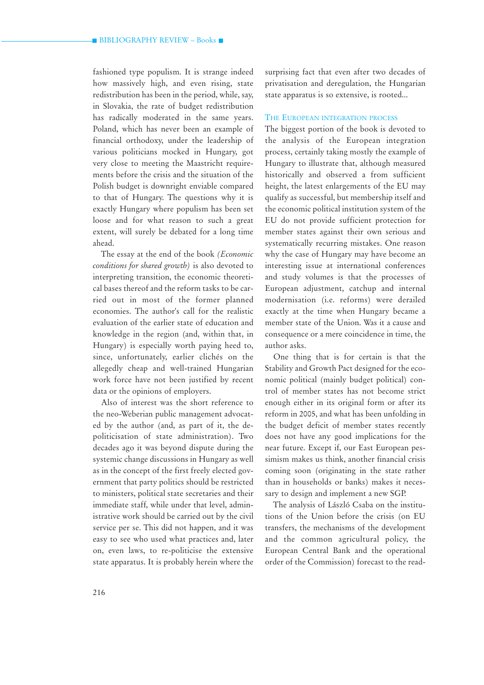fashioned type populism. It is strange indeed how massively high, and even rising, state redistribution has been in the period, while, say, in Slovakia, the rate of budget redistribution has radically moderated in the same years. Poland, which has never been an example of financial orthodoxy, under the leadership of various politicians mocked in Hungary, got very close to meeting the Maastricht requirements before the crisis and the situation of the Polish budget is downright enviable compared to that of Hungary. The questions why it is exactly Hungary where populism has been set loose and for what reason to such a great extent, will surely be debated for a long time ahead.

The essay at the end of the book *(Economic conditions for shared growth)* is also devoted to interpreting transition, the economic theoretical bases thereof and the reform tasks to be carried out in most of the former planned economies. The author's call for the realistic evaluation of the earlier state of education and knowledge in the region (and, within that, in Hungary) is especially worth paying heed to, since, unfortunately, earlier clichés on the allegedly cheap and well-trained Hungarian work force have not been justified by recent data or the opinions of employers.

Also of interest was the short reference to the neo-Weberian public management advocated by the author (and, as part of it, the depoliticisation of state administration). Two decades ago it was beyond dispute during the systemic change discussions in Hungary as well as in the concept of the first freely elected government that party politics should be restricted to ministers, political state secretaries and their immediate staff, while under that level, administrative work should be carried out by the civil service per se. This did not happen, and it was easy to see who used what practices and, later on, even laws, to re-politicise the extensive state apparatus. It is probably herein where the

surprising fact that even after two decades of privatisation and deregulation, the Hungarian state apparatus is so extensive, is rooted...

### THE EUROPEAN INTEGRATION PROCESS

The biggest portion of the book is devoted to the analysis of the European integration process, certainly taking mostly the example of Hungary to illustrate that, although measured historically and observed a from sufficient height, the latest enlargements of the EU may qualify as successful, but membership itself and the economic political institution system of the EU do not provide sufficient protection for member states against their own serious and systematically recurring mistakes. One reason why the case of Hungary may have become an interesting issue at international conferences and study volumes is that the processes of European adjustment, catchup and internal modernisation (i.e. reforms) were derailed exactly at the time when Hungary became a member state of the Union. Was it a cause and consequence or a mere coincidence in time, the author asks.

One thing that is for certain is that the Stability and Growth Pact designed for the economic political (mainly budget political) control of member states has not become strict enough either in its original form or after its reform in 2005, and what has been unfolding in the budget deficit of member states recently does not have any good implications for the near future. Except if, our East European pessimism makes us think, another financial crisis coming soon (originating in the state rather than in households or banks) makes it necessary to design and implement a new SGP.

The analysis of László Csaba on the institutions of the Union before the crisis (on EU transfers, the mechanisms of the development and the common agricultural policy, the European Central Bank and the operational order of the Commission) forecast to the read-